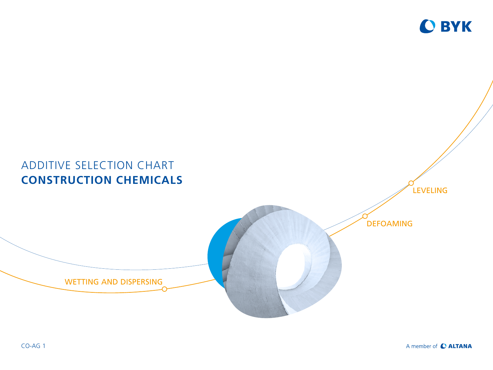

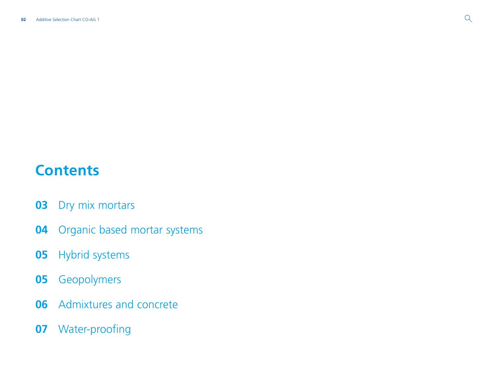# **Contents**

- [Dry mix mortars](#page-2-0)
- [Organic based mortar systems](#page-3-0)
- [Hybrid systems](#page-4-0)
- [Geopolymers](#page-4-0)
- [Admixtures and concrete](#page-5-0)
- [Water-proofing](#page-6-0)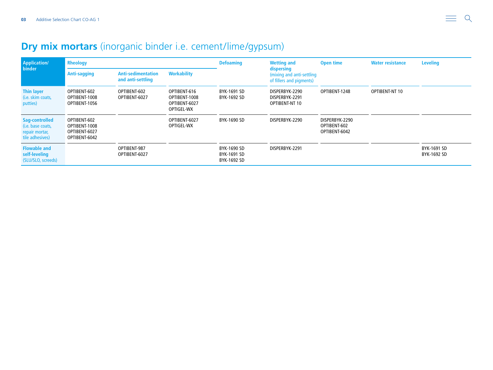## <span id="page-2-0"></span>**Dry mix mortars** (inorganic binder i.e. cement/lime/gypsum)

| <b>Application/</b><br>binder                                            | <b>Rheology</b>                                                 |                                                |                                                              | <b>Defoaming</b>                          | <b>Wetting and</b>                                                  | <b>Open time</b>                                | <b>Water resistance</b> | <b>Leveling</b>            |
|--------------------------------------------------------------------------|-----------------------------------------------------------------|------------------------------------------------|--------------------------------------------------------------|-------------------------------------------|---------------------------------------------------------------------|-------------------------------------------------|-------------------------|----------------------------|
|                                                                          | <b>Anti-sagging</b>                                             | <b>Anti-sedimentation</b><br>and anti-settling | <b>Workability</b>                                           |                                           | dispersing<br>(mixing and anti-settling<br>of fillers and pigments) |                                                 |                         |                            |
| <b>Thin layer</b><br>(i.e. skim coats,<br>putties)                       | OPTIBENT-602<br>OPTIBENT-1008<br>OPTIBENT-1056                  | OPTIBENT-602<br>OPTIBENT-6027                  | OPTIBENT-616<br>OPTIBENT-1008<br>OPTIBENT-6027<br>OPTIGEL-WX | BYK-1691 SD<br>BYK-1692 SD                | DISPERBYK-2290<br>DISPERBYK-2291<br>OPTIBENT-NT 10                  | OPTIBENT-1248                                   | OPTIBENT-NT 10          |                            |
| Sag-controlled<br>(i.e. base coats,<br>repair mortar,<br>tile adhesives) | OPTIBENT-602<br>OPTIBENT-1008<br>OPTIBENT-6027<br>OPTIBENT-6042 |                                                | OPTIBENT-6027<br>OPTIGEL-WX                                  | BYK-1690 SD                               | DISPERBYK-2290                                                      | DISPERBYK-2290<br>OPTIBENT-602<br>OPTIBENT-6042 |                         |                            |
| <b>Flowable and</b><br>self-leveling<br>(SLU/SLO, screeds)               |                                                                 | OPTIBENT-987<br>OPTIBENT-6027                  |                                                              | BYK-1690 SD<br>BYK-1691 SD<br>BYK-1692 SD | DISPERBYK-2291                                                      |                                                 |                         | BYK-1691 SD<br>BYK-1692 SD |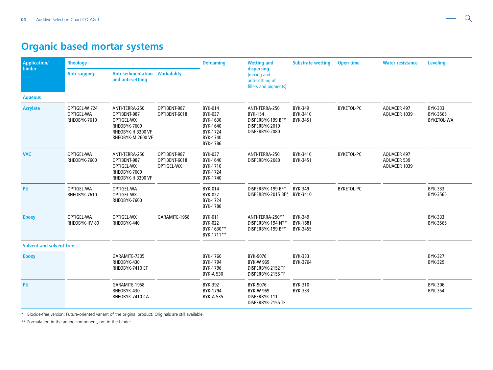### <span id="page-3-0"></span>**Organic based mortar systems**

| Application/<br>binder          | <b>Rheology</b>                             |                                                                                                        |                                             | <b>Defoaming</b><br><b>Wetting and</b>                                         |                                                                                           | <b>Substrate wetting</b>               | <b>Open time</b>  | <b>Water resistance</b>                                  | <b>Leveling</b>                          |
|---------------------------------|---------------------------------------------|--------------------------------------------------------------------------------------------------------|---------------------------------------------|--------------------------------------------------------------------------------|-------------------------------------------------------------------------------------------|----------------------------------------|-------------------|----------------------------------------------------------|------------------------------------------|
|                                 | <b>Anti-sagging</b>                         | <b>Anti-sedimentation</b><br>and anti-settling                                                         | <b>Workability</b>                          |                                                                                | dispersing<br>(mixing and<br>anti-settling of<br>fillers and pigments)                    |                                        |                   |                                                          |                                          |
| <b>Aqueous</b>                  |                                             |                                                                                                        |                                             |                                                                                |                                                                                           |                                        |                   |                                                          |                                          |
| <b>Acrylate</b>                 | OPTIGEL-W 724<br>OPTIGEL-WA<br>RHEOBYK-7610 | ANTI-TERRA-250<br>OPTIBENT-987<br>OPTIGEL-WX<br>RHEOBYK-7600<br>RHEOBYK-H 3300 VF<br>RHEOBYK-M 2600 VF | OPTIBENT-987<br>OPTIBENT-6018               | BYK-014<br>BYK-037<br>BYK-1630<br>BYK-1640<br>BYK-1724<br>BYK-1740<br>BYK-1786 | ANTI-TERRA-250<br><b>BYK-154</b><br>DISPERBYK-199 BF*<br>DISPERBYK-2019<br>DISPERBYK-2080 | <b>BYK-349</b><br>BYK-3410<br>BYK-3451 | <b>BYKETOL-PC</b> | AQUACER 497<br>AQUACER 1039                              | BYK-333<br>BYK-3565<br><b>BYKETOL-WA</b> |
| <b>VAC</b>                      | OPTIGEL-WA<br>RHEOBYK-7600                  | ANTI-TERRA-250<br>OPTIBENT-987<br>OPTIGEL-WX<br>RHEOBYK-7600<br>RHEOBYK-H 3300 VF                      | OPTIBENT-987<br>OPTIBENT-6018<br>OPTIGEL-WX | <b>BYK-037</b><br>BYK-1640<br>BYK-1710<br>BYK-1724<br>BYK-1740                 | ANTI-TERRA-250<br>DISPERBYK-2080                                                          | BYK-3410<br>BYK-3451                   | BYKETOL-PC        | <b>AQUACER 497</b><br><b>AQUACER 539</b><br>AQUACER 1039 |                                          |
| <b>PU</b>                       | OPTIGEL-WA<br>RHEOBYK-7610                  | OPTIGEL-WA<br>OPTIGEL-WX<br>RHEOBYK-7600                                                               |                                             | BYK-014<br>BYK-022<br>BYK-1724<br>BYK-1786                                     | DISPERBYK-199 BF*<br>DISPERBYK-2015 BF*                                                   | BYK-349<br>BYK-3410                    | <b>BYKETOL-PC</b> |                                                          | BYK-333<br>BYK-3565                      |
| <b>Epoxy</b>                    | OPTIGEL-WA<br>RHEOBYK-HV 80                 | OPTIGEL-WX<br>RHEOBYK-440                                                                              | GARAMITE-1958                               | BYK-011<br>BYK-022<br>BYK-1630**<br>BYK-1711**                                 | ANTI-TERRA-250**<br>DISPERBYK-194 N**<br>DISPERBYK-199 BF*                                | BYK-349<br>BYK-1681<br>BYK-3455        |                   |                                                          | <b>BYK-333</b><br>BYK-3565               |
| <b>Solvent and solvent-free</b> |                                             |                                                                                                        |                                             |                                                                                |                                                                                           |                                        |                   |                                                          |                                          |
| <b>Epoxy</b>                    |                                             | GARAMITE-7305<br>RHEOBYK-430<br>RHEOBYK-7410 ET                                                        |                                             | BYK-1760<br>BYK-1794<br>BYK-1796<br><b>BYK-A 530</b>                           | BYK-9076<br><b>BYK-W 969</b><br>DISPERBYK-2152 TF<br>DISPERBYK-2155 TF                    | <b>BYK-333</b><br>BYK-3764             |                   |                                                          | <b>BYK-327</b><br><b>BYK-329</b>         |
| <b>PU</b>                       |                                             | GARAMITE-1958<br>RHEOBYK-430<br>RHEOBYK-7410 CA                                                        |                                             | BYK-392<br>BYK-1794<br><b>BYK-A 535</b>                                        | BYK-9076<br><b>BYK-W 969</b><br>DISPERBYK-111<br>DISPERBYK-2155 TF                        | BYK-310<br><b>BYK-333</b>              |                   |                                                          | <b>BYK-306</b><br><b>BYK-354</b>         |

\* Biocide-free version: Future-oriented variant of the original product. Originals are still available.

\*\* Formulation in the amine component, not in the binder.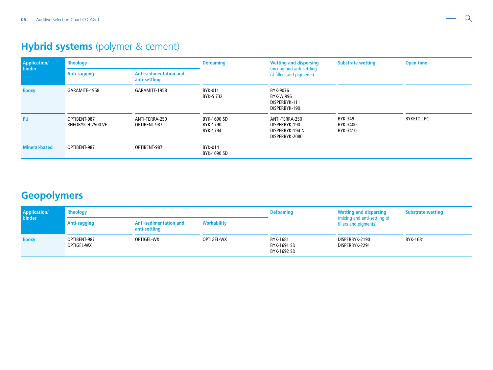# <span id="page-4-0"></span>**Hybrid systems** (polymer & cement)

| <b>Application/</b><br>binder | <b>Rheology</b>                   |                                                | <b>Defoaming</b>                    | <b>Wetting and dispersing</b>                                        | <b>Substrate wetting</b>        | Open time         |
|-------------------------------|-----------------------------------|------------------------------------------------|-------------------------------------|----------------------------------------------------------------------|---------------------------------|-------------------|
|                               | <b>Anti-sagging</b>               | <b>Anti-sedimentation and</b><br>anti-settling |                                     | (mixing and anti-settling<br>of fillers and pigments)                |                                 |                   |
| <b>Epoxy</b>                  | GARAMITE-1958                     | GARAMITE-1958                                  | BYK-011<br>BYK-S 732                | BYK-9076<br>BYK-W 996<br>DISPERBYK-111<br>DISPERBYK-190              |                                 |                   |
| <b>PU</b>                     | OPTIBENT-987<br>RHEOBYK-H 7500 VF | ANTI-TERRA-250<br>OPTIBENT-987                 | BYK-1690 SD<br>BYK-1790<br>BYK-1794 | ANTI-TERRA-250<br>DISPERBYK-190<br>DISPERBYK-194 N<br>DISPERBYK-2080 | BYK-349<br>BYK-3400<br>BYK-3410 | <b>BYKETOL-PC</b> |
| <b>Mineral-based</b>          | OPTIBENT-987                      | OPTIBENT-987                                   | BYK-014<br>BYK-1690 SD              |                                                                      |                                 |                   |

### **Geopolymers**

| <b>Application/</b><br>binder | <b>Rheology</b>                          |                                                |                    | <b>Defoaming</b>                       | <b>Wetting and dispersing</b>                         | <b>Substrate wetting</b> |
|-------------------------------|------------------------------------------|------------------------------------------------|--------------------|----------------------------------------|-------------------------------------------------------|--------------------------|
|                               | Anti-sagging                             | <b>Anti-sedimentation and</b><br>anti-settling | <b>Workability</b> |                                        | (mixing and anti-settling of<br>fillers and pigments) |                          |
| <b>Epoxy</b>                  | OPTIGEL-WX<br>OPTIBENT-987<br>OPTIGEL-WX |                                                | OPTIGEL-WX         | BYK-1681<br>BYK-1691 SD<br>BYK-1692 SD | DISPERBYK-2190<br>DISPERBYK-2291                      | BYK-1681                 |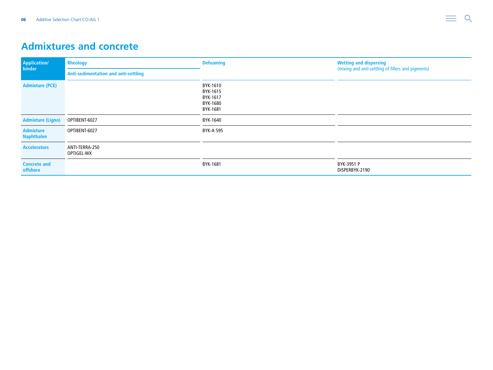#### <span id="page-5-0"></span>**Admixtures and concrete**

| <b>Application/</b><br>binder         | <b>Rheology</b>                      | <b>Defoaming</b>                                         | <b>Wetting and dispersing</b><br>(mixing and anti-settling of fillers and pigments) |  |
|---------------------------------------|--------------------------------------|----------------------------------------------------------|-------------------------------------------------------------------------------------|--|
|                                       | Anti-sedimentation and anti-settling |                                                          |                                                                                     |  |
| <b>Admixture (PCE)</b>                |                                      | BYK-1610<br>BYK-1615<br>BYK-1617<br>BYK-1680<br>BYK-1681 |                                                                                     |  |
| <b>Admixture (Ligno)</b>              | OPTIBENT-6027                        | BYK-1640                                                 |                                                                                     |  |
| <b>Admixture</b><br><b>Naphthalen</b> | OPTIBENT-6027                        | BYK-A 595                                                |                                                                                     |  |
| <b>Accelerators</b>                   | ANTI-TERRA-250<br>OPTIGEL-WX         |                                                          |                                                                                     |  |
| <b>Concrete and</b><br>offshore       |                                      | BYK-1681                                                 | BYK-3951 P<br>DISPERBYK-2190                                                        |  |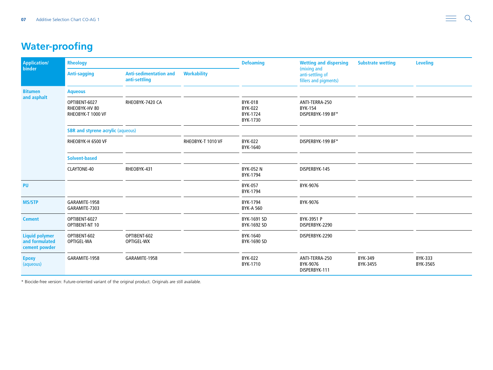# <span id="page-6-0"></span>**Water-proofing**

| Application/<br>binder                                   | <b>Rheology</b>                                     |                                                |                    | <b>Defoaming</b>                                  | <b>Wetting and dispersing</b>                            | <b>Substrate wetting</b> | <b>Leveling</b>            |
|----------------------------------------------------------|-----------------------------------------------------|------------------------------------------------|--------------------|---------------------------------------------------|----------------------------------------------------------|--------------------------|----------------------------|
|                                                          | <b>Anti-sagging</b>                                 | <b>Anti-sedimentation and</b><br>anti-settling | <b>Workability</b> |                                                   | (mixing and<br>anti-settling of<br>fillers and pigments) |                          |                            |
| <b>Bitumen</b><br>and asphalt                            | <b>Aqueous</b>                                      |                                                |                    |                                                   |                                                          |                          |                            |
|                                                          | OPTIBENT-6027<br>RHEOBYK-HV 80<br>RHEOBYK-T 1000 VF | RHEOBYK-7420 CA                                |                    | <b>BYK-018</b><br>BYK-022<br>BYK-1724<br>BYK-1730 | ANTI-TERRA-250<br><b>BYK-154</b><br>DISPERBYK-199 BF*    |                          |                            |
|                                                          | <b>SBR and styrene acrylic (aqueous)</b>            |                                                |                    |                                                   |                                                          |                          |                            |
|                                                          | RHEOBYK-H 6500 VF                                   |                                                | RHEOBYK-T 1010 VF  | BYK-022<br>BYK-1640                               | DISPERBYK-199 BF*                                        |                          |                            |
|                                                          | <b>Solvent-based</b>                                |                                                |                    |                                                   |                                                          |                          |                            |
|                                                          | CLAYTONE-40                                         | RHEOBYK-431                                    |                    | <b>BYK-052 N</b><br>BYK-1794                      | DISPERBYK-145                                            |                          |                            |
| <b>PU</b>                                                |                                                     |                                                |                    | <b>BYK-057</b><br>BYK-1794                        | BYK-9076                                                 |                          |                            |
| <b>MS/STP</b>                                            | GARAMITE-1958<br>GARAMITE-7303                      |                                                |                    | BYK-1794<br><b>BYK-A 560</b>                      | BYK-9076                                                 |                          |                            |
| <b>Cement</b>                                            | OPTIBENT-6027<br>OPTIBENT-NT 10                     |                                                |                    | BYK-1691 SD<br>BYK-1692 SD                        | BYK-3951 P<br>DISPERBYK-2290                             |                          |                            |
| <b>Liquid polymer</b><br>and formulated<br>cement powder | OPTIBENT-602<br>OPTIGEL-WA                          | OPTIBENT-602<br>OPTIGEL-WX                     |                    | BYK-1640<br>BYK-1690 SD                           | DISPERBYK-2290                                           |                          |                            |
| <b>Epoxy</b><br>(aqueous)                                | GARAMITE-1958                                       | GARAMITE-1958                                  |                    | <b>BYK-022</b><br>BYK-1710                        | ANTI-TERRA-250<br>BYK-9076<br>DISPERBYK-111              | BYK-349<br>BYK-3455      | <b>BYK-333</b><br>BYK-3565 |

\* Biocide-free version: Future-oriented variant of the original product. Originals are still available.